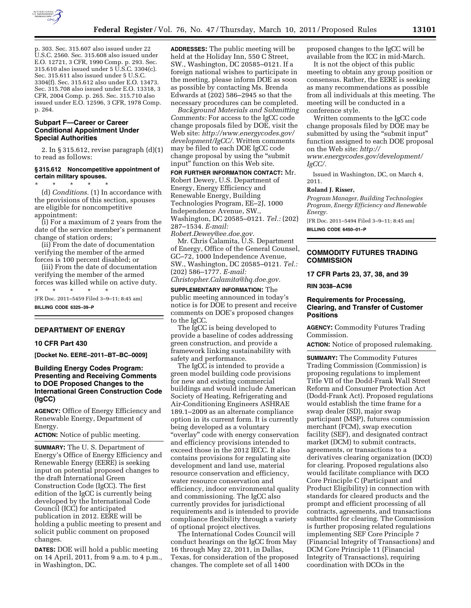

p. 303. Sec. 315.607 also issued under 22 U.S.C. 2560. Sec. 315.608 also issued under E.O. 12721, 3 CFR, 1990 Comp. p. 293. Sec. 315.610 also issued under 5 U.S.C. 3304(c). Sec. 315.611 also issued under 5 U.S.C. 3304(f). Sec. 315.612 also under E.O. 13473. Sec. 315.708 also issued under E.O. 13318, 3 CFR, 2004 Comp. p. 265. Sec. 315.710 also issued under E.O. 12596, 3 CFR, 1978 Comp. p. 264.

## **Subpart F—Career or Career Conditional Appointment Under Special Authorities**

2. In § 315.612, revise paragraph (d)(1) to read as follows:

## **§ 315.612 Noncompetitive appointment of certain military spouses.**

\* \* \* \* \* (d) *Conditions.* (1) In accordance with the provisions of this section, spouses are eligible for noncompetitive appointment:

(i) For a maximum of 2 years from the date of the service member's permanent change of station orders;

(ii) From the date of documentation verifying the member of the armed forces is 100 percent disabled; or

(iii) From the date of documentation verifying the member of the armed forces was killed while on active duty. \* \* \* \* \*

[FR Doc. 2011–5459 Filed 3–9–11; 8:45 am] **BILLING CODE 6325–39–P** 

### **DEPARTMENT OF ENERGY**

### **10 CFR Part 430**

**[Docket No. EERE–2011–BT–BC–0009]** 

# **Building Energy Codes Program: Presenting and Receiving Comments to DOE Proposed Changes to the International Green Construction Code (IgCC)**

**AGENCY:** Office of Energy Efficiency and Renewable Energy, Department of Energy.

**ACTION:** Notice of public meeting.

**SUMMARY:** The U. S. Department of Energy's Office of Energy Efficiency and Renewable Energy (EERE) is seeking input on potential proposed changes to the draft International Green Construction Code (IgCC). The first edition of the IgCC is currently being developed by the International Code Council (ICC) for anticipated publication in 2012. EERE will be holding a public meeting to present and solicit public comment on proposed changes.

**DATES:** DOE will hold a public meeting on 14 April, 2011, from 9 a.m. to 4 p.m., in Washington, DC.

**ADDRESSES:** The public meeting will be held at the Holiday Inn, 550 C Street, SW., Washington, DC 20585–0121. If a foreign national wishes to participate in the meeting, please inform DOE as soon as possible by contacting Ms. Brenda Edwards at (202) 586–2945 so that the necessary procedures can be completed.

*Background Materials and Submitting Comments:* For access to the IgCC code change proposals filed by DOE, visit the Web site: *[http://www.energycodes.gov/](http://www.energycodes.gov/development/IgCC/)  [development/IgCC/.](http://www.energycodes.gov/development/IgCC/)* Written comments may be filed to each DOE IgCC code change proposal by using the ''submit input'' function on this Web site.

**FOR FURTHER INFORMATION CONTACT:** Mr. Robert Dewey, U.S. Department of Energy, Energy Efficiency and Renewable Energy, Building Technologies Program, EE–2J, 1000 Independence Avenue, SW., Washington, DC 20585–0121. *Tel.:* (202) 287–1534. *E-mail:* 

*[Robert.Dewey@ee.doe.gov.](mailto:Robert.Dewey@ee.doe.gov)* 

Mr. Chris Calamita, U.S. Department of Energy, Office of the General Counsel, GC–72, 1000 Independence Avenue, SW., Washington, DC 20585–0121. *Tel.:*  (202) 586–1777. *E-mail: [Christopher.Calamita@hq.doe.gov.](mailto:Christopher.Calamita@hq.doe.gov)* 

**SUPPLEMENTARY INFORMATION:** The public meeting announced in today's notice is for DOE to present and receive comments on DOE's proposed changes to the IgCC.

The IgCC is being developed to provide a baseline of codes addressing green construction, and provide a framework linking sustainability with safety and performance.

The IgCC is intended to provide a green model building code provisions for new and existing commercial buildings and would include American Society of Heating, Refrigerating and Air-Conditioning Engineers ASHRAE 189.1–2009 as an alternate compliance option in its current form. It is currently being developed as a voluntary "overlay" code with energy conservation and efficiency provisions intended to exceed those in the 2012 IECC. It also contains provisions for regulating site development and land use, material resource conservation and efficiency, water resource conservation and efficiency, indoor environmental quality and commissioning. The IgCC also currently provides for jurisdictional requirements and is intended to provide compliance flexibility through a variety of optional project electives.

The International Codes Council will conduct hearings on the IgCC from May 16 through May 22, 2011, in Dallas, Texas, for consideration of the proposed changes. The complete set of all 1400

proposed changes to the IgCC will be available from the ICC in mid-March.

It is not the object of this public meeting to obtain any group position or consensus. Rather, the EERE is seeking as many recommendations as possible from all individuals at this meeting. The meeting will be conducted in a conference style.

Written comments to the IgCC code change proposals filed by DOE may be submitted by using the "submit input" function assigned to each DOE proposal on the Web site: *[http://](http://www.energycodes.gov/development/IgCC/) [www.energycodes.gov/development/](http://www.energycodes.gov/development/IgCC/)  [IgCC/.](http://www.energycodes.gov/development/IgCC/)* 

Issued in Washington, DC, on March 4, 2011.

### **Roland J. Risser,**

*Program Manager, Building Technologies Program, Energy Efficiency and Renewable Energy.* 

[FR Doc. 2011–5494 Filed 3–9–11; 8:45 am] **BILLING CODE 6450–01–P** 

# **COMMODITY FUTURES TRADING COMMISSION**

**17 CFR Parts 23, 37, 38, and 39** 

**RIN 3038–AC98** 

## **Requirements for Processing, Clearing, and Transfer of Customer Positions**

**AGENCY:** Commodity Futures Trading Commission.

**ACTION:** Notice of proposed rulemaking.

**SUMMARY:** The Commodity Futures Trading Commission (Commission) is proposing regulations to implement Title VII of the Dodd-Frank Wall Street Reform and Consumer Protection Act (Dodd-Frank Act). Proposed regulations would establish the time frame for a swap dealer (SD), major swap participant (MSP), futures commission merchant (FCM), swap execution facility (SEF), and designated contract market (DCM) to submit contracts, agreements, or transactions to a derivatives clearing organization (DCO) for clearing. Proposed regulations also would facilitate compliance with DCO Core Principle C (Participant and Product Eligibility) in connection with standards for cleared products and the prompt and efficient processing of all contracts, agreements, and transactions submitted for clearing. The Commission is further proposing related regulations implementing SEF Core Principle 7 (Financial Integrity of Transactions) and DCM Core Principle 11 (Financial Integrity of Transactions), requiring coordination with DCOs in the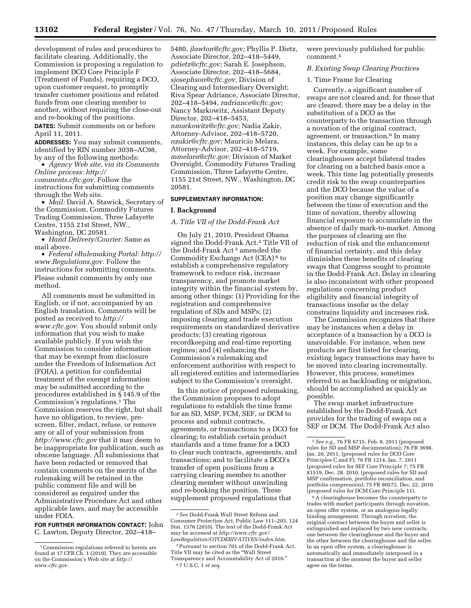development of rules and procedures to facilitate clearing. Additionally, the Commission is proposing a regulation to implement DCO Core Principle F (Treatment of Funds), requiring a DCO, upon customer request, to promptly transfer customer positions and related funds from one clearing member to another, without requiring the close-out and re-booking of the positions.

**DATES:** Submit comments on or before April 11, 2011.

**ADDRESSES:** You may submit comments, identified by RIN number 3038–AC98, by any of the following methods:

• *Agency Web site, via its Comments Online process: [http://](http://comments.cftc.gov) [comments.cftc.gov.](http://comments.cftc.gov)* Follow the instructions for submitting comments through the Web site.

• *Mail:* David A. Stawick, Secretary of the Commission, Commodity Futures Trading Commission, Three Lafayette Centre, 1155 21st Street, NW., Washington, DC 20581.

• *Hand Delivery/Courier:* Same as mail above.

• *Federal eRulemaking Portal: [http://](http://www.Regulations.gov)  [www.Regulations.gov.](http://www.Regulations.gov)* Follow the instructions for submitting comments. Please submit comments by only one method.

All comments must be submitted in English, or if not, accompanied by an English translation. Comments will be posted as received to *[http://](http://www.cftc.gov) [www.cftc.gov.](http://www.cftc.gov)* You should submit only information that you wish to make available publicly. If you wish the Commission to consider information that may be exempt from disclosure under the Freedom of Information Act (FOIA), a petition for confidential treatment of the exempt information may be submitted according to the procedures established in § 145.9 of the Commission's regulations.1 The Commission reserves the right, but shall have no obligation, to review, prescreen, filter, redact, refuse, or remove any or all of your submission from *<http://www.cftc.gov>* that it may deem to be inappropriate for publication, such as obscene language. All submissions that have been redacted or removed that contain comments on the merits of the rulemaking will be retained in the public comment file and will be considered as required under the Administrative Procedure Act and other applicable laws, and may be accessible under FOIA.

**FOR FURTHER INFORMATION CONTACT:** John C. Lawton, Deputy Director, 202–418–

5480, *[jlawton@cftc.gov;](mailto:jlawton@cftc.gov)* Phyllis P. Dietz, Associate Director, 202–418–5449, *[pdietz@cftc.gov;](mailto:pdietz@cftc.gov)* Sarah E. Josephson, Associate Director, 202–418–5684, *[sjosephson@cftc.gov,](mailto:sjosephson@cftc.gov)* Division of Clearing and Intermediary Oversight; Riva Spear Adriance, Associate Director, 202–418–5494, *[radriance@cftc.gov;](mailto:radriance@cftc.gov)*  Nancy Markowitz, Assistant Deputy Director, 202–418–5453, *[nmarkowitz@cftc.gov;](mailto:nmarkowitz@cftc.gov)* Nadia Zakir, Attorney-Advisor, 202–418–5720, *[nzakir@cftc.gov;](mailto:nzakir@cftc.gov)* Mauricio Melara, Attorney-Advisor, 202–418–5719, *[mmelara@cftc.gov;](mailto:mmelara@cftc.gov)* Division of Market Oversight, Commodity Futures Trading Commission, Three Lafayette Centre, 1155 21st Street, NW., Washington, DC 20581.

### **SUPPLEMENTARY INFORMATION:**

### **I. Background**

*A. Title VII of the Dodd-Frank Act* 

On July 21, 2010, President Obama signed the Dodd-Frank Act.2 Title VII of the Dodd-Frank Act 3 amended the Commodity Exchange Act (CEA) 4 to establish a comprehensive regulatory framework to reduce risk, increase transparency, and promote market integrity within the financial system by, among other things: (1) Providing for the registration and comprehensive regulation of SDs and MSPs; (2) imposing clearing and trade execution requirements on standardized derivative products; (3) creating rigorous recordkeeping and real-time reporting regimes; and (4) enhancing the Commission's rulemaking and enforcement authorities with respect to all registered entities and intermediaries subject to the Commission's oversight.

In this notice of proposed rulemaking, the Commission proposes to adopt regulations to establish the time frame for an SD, MSP, FCM, SEF, or DCM to process and submit contracts, agreements, or transactions to a DCO for clearing; to establish certain product standards and a time frame for a DCO to clear such contracts, agreements, and transactions; and to facilitate a DCO's transfer of open positions from a carrying clearing member to another clearing member without unwinding and re-booking the position. These supplement proposed regulations that

were previously published for public comment.5

## *B. Existing Swap Clearing Practices*

## 1. Time Frame for Clearing

Currently, a significant number of swaps are not cleared and, for those that are cleared, there may be a delay in the substitution of a DCO as the counterparty to the transaction through a novation of the original contract, agreement, or transaction.6 In many instances, this delay can be up to a week. For example, some clearinghouses accept bilateral trades for clearing on a batched basis once a week. This time lag potentially presents credit risk to the swap counterparties and the DCO because the value of a position may change significantly between the time of execution and the time of novation, thereby allowing financial exposure to accumulate in the absence of daily mark-to-market. Among the purposes of clearing are the reduction of risk and the enhancement of financial certainty, and this delay diminishes these benefits of clearing swaps that Congress sought to promote in the Dodd-Frank Act. Delay in clearing is also inconsistent with other proposed regulations concerning product eligibility and financial integrity of transactions insofar as the delay constrains liquidity and increases risk.

The Commission recognizes that there may be instances when a delay in acceptance of a transaction by a DCO is unavoidable. For instance, when new products are first listed for clearing, existing legacy transactions may have to be moved into clearing incrementally. However, this process, sometimes referred to as backloading or migration, should be accomplished as quickly as possible.

The swap market infrastructure established by the Dodd-Frank Act provides for the trading of swaps on a SEF or DCM. The Dodd-Frank Act also

6A clearinghouse becomes the counterparty to trades with market participants through novation, an open offer system, or an analogous legally binding arrangement. Through novation, the original contract between the buyer and seller is extinguished and replaced by two new contracts, one between the clearinghouse and the buyer and the other between the clearinghouse and the seller. In an open offer system, a clearinghouse is automatically and immediately interposed in a transaction at the moment the buyer and seller agree on the terms.

<sup>1</sup>Commission regulations referred to herein are found at 17 CFR Ch. 1 (2010). They are accessible on the Commission's Web site at *[http://](http://www.cftc.gov) [www.cftc.gov.](http://www.cftc.gov)* 

<sup>2</sup>*See* Dodd-Frank Wall Street Reform and Consumer Protection Act, Public Law 111–203, 124 Stat. 1376 (2010). The text of the Dodd-Frank Act may be accessed at *[http://www.cftc.gov/](http://www.cftc.gov/LawRegulation/OTCDERIVATIVES/index.htm) [LawRegulation/OTCDERIVATIVES/index.htm.](http://www.cftc.gov/LawRegulation/OTCDERIVATIVES/index.htm)* 

<sup>3</sup>Pursuant to section 701 of the Dodd-Frank Act, Title VII may be cited as the ''Wall Street Transparency and Accountability Act of 2010.'' 4 7 U.S.C. 1 *et seq.* 

<sup>5</sup>*See e.g.,* 76 FR 6715, Feb. 8, 2011 (proposed rules for SD and MSP documentation); 76 FR 3698, Jan. 20, 2011, (proposed rules for DCO Core Principles C and F); 76 FR 1214, Jan. 7, 2011 (proposed rules for SEF Core Principle 7; 75 FR 81519, Dec. 28, 2010, (proposed rules for SD and MSP confirmation, portfolio reconciliation, and portfolio compression); 75 FR 80572, Dec. 22, 2010 (proposed rules for DCM Core Principle 11).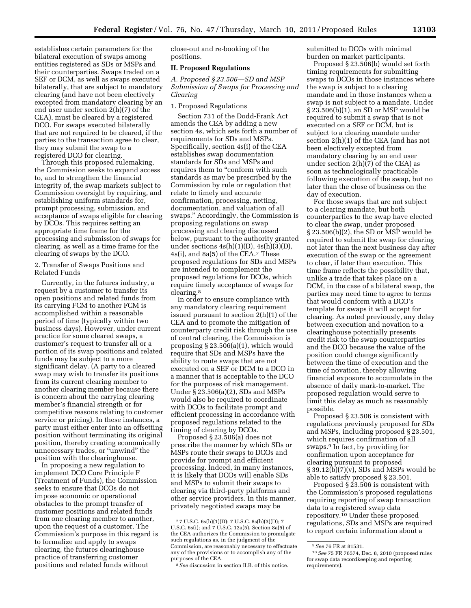establishes certain parameters for the bilateral execution of swaps among entities registered as SDs or MSPs and their counterparties. Swaps traded on a SEF or DCM, as well as swaps executed bilaterally, that are subject to mandatory clearing (and have not been electively excepted from mandatory clearing by an end user under section 2(h)(7) of the CEA), must be cleared by a registered DCO. For swaps executed bilaterally that are not required to be cleared, if the parties to the transaction agree to clear, they may submit the swap to a registered DCO for clearing.

Through this proposed rulemaking, the Commission seeks to expand access to, and to strengthen the financial integrity of, the swap markets subject to Commission oversight by requiring, and establishing uniform standards for, prompt processing, submission, and acceptance of swaps eligible for clearing by DCOs. This requires setting an appropriate time frame for the processing and submission of swaps for clearing, as well as a time frame for the clearing of swaps by the DCO.

## 2. Transfer of Swaps Positions and Related Funds

Currently, in the futures industry, a request by a customer to transfer its open positions and related funds from its carrying FCM to another FCM is accomplished within a reasonable period of time (typically within two business days). However, under current practice for some cleared swaps, a customer's request to transfer all or a portion of its swap positions and related funds may be subject to a more significant delay. (A party to a cleared swap may wish to transfer its positions from its current clearing member to another clearing member because there is concern about the carrying clearing member's financial strength or for competitive reasons relating to customer service or pricing). In these instances, a party must either enter into an offsetting position without terminating its original position, thereby creating economically unnecessary trades, or ''unwind'' the position with the clearinghouse.

In proposing a new regulation to implement DCO Core Principle F (Treatment of Funds), the Commission seeks to ensure that DCOs do not impose economic or operational obstacles to the prompt transfer of customer positions and related funds from one clearing member to another, upon the request of a customer. The Commission's purpose in this regard is to formalize and apply to swaps clearing, the futures clearinghouse practice of transferring customer positions and related funds without

close-out and re-booking of the positions.

### **II. Proposed Regulations**

*A. Proposed § 23.506—SD and MSP Submission of Swaps for Processing and Clearing* 

# 1. Proposed Regulations

Section 731 of the Dodd-Frank Act amends the CEA by adding a new section 4s, which sets forth a number of requirements for SDs and MSPs. Specifically, section 4s(i) of the CEA establishes swap documentation standards for SDs and MSPs and requires them to "conform with such standards as may be prescribed by the Commission by rule or regulation that relate to timely and accurate confirmation, processing, netting, documentation, and valuation of all swaps.'' Accordingly, the Commission is proposing regulations on swap processing and clearing discussed below, pursuant to the authority granted under sections  $4s(h)(1)(D)$ ,  $4s(h)(3)(D)$ , 4s(i), and 8a(5) of the CEA.7 These proposed regulations for SDs and MSPs are intended to complement the proposed regulations for DCOs, which require timely acceptance of swaps for clearing.8

In order to ensure compliance with any mandatory clearing requirement issued pursuant to section 2(h)(1) of the CEA and to promote the mitigation of counterparty credit risk through the use of central clearing, the Commission is proposing § 23.506(a)(1), which would require that SDs and MSPs have the ability to route swaps that are not executed on a SEF or DCM to a DCO in a manner that is acceptable to the DCO for the purposes of risk management. Under § 23.506(a)(2), SDs and MSPs would also be required to coordinate with DCOs to facilitate prompt and efficient processing in accordance with proposed regulations related to the timing of clearing by DCOs.

Proposed § 23.506(a) does not prescribe the manner by which SDs or MSPs route their swaps to DCOs and provide for prompt and efficient processing. Indeed, in many instances, it is likely that DCOs will enable SDs and MSPs to submit their swaps to clearing via third-party platforms and other service providers. In this manner, privately negotiated swaps may be

submitted to DCOs with minimal burden on market participants.

Proposed § 23.506(b) would set forth timing requirements for submitting swaps to DCOs in those instances where the swap is subject to a clearing mandate and in those instances when a swap is not subject to a mandate. Under § 23.506(b)(1), an SD or MSP would be required to submit a swap that is not executed on a SEF or DCM, but is subject to a clearing mandate under section 2(h)(1) of the CEA (and has not been electively excepted from mandatory clearing by an end user under section  $2(h)(7)$  of the CEA) as soon as technologically practicable following execution of the swap, but no later than the close of business on the day of execution.

For those swaps that are not subject to a clearing mandate, but both counterparties to the swap have elected to clear the swap, under proposed § 23.506(b)(2), the SD or MSP would be required to submit the swap for clearing not later than the next business day after execution of the swap or the agreement to clear, if later than execution. This time frame reflects the possibility that, unlike a trade that takes place on a DCM, in the case of a bilateral swap, the parties may need time to agree to terms that would conform with a DCO's template for swaps it will accept for clearing. As noted previously, any delay between execution and novation to a clearinghouse potentially presents credit risk to the swap counterparties and the DCO because the value of the position could change significantly between the time of execution and the time of novation, thereby allowing financial exposure to accumulate in the absence of daily mark-to-market. The proposed regulation would serve to limit this delay as much as reasonably possible.

Proposed § 23.506 is consistent with regulations previously proposed for SDs and MSPs, including proposed § 23.501, which requires confirmation of all swaps.9 In fact, by providing for confirmation upon acceptance for clearing pursuant to proposed  $\S 39.12(b)(7)(v)$ , SDs and MSPs would be able to satisfy proposed § 23.501.

Proposed  $\S$  23.506 is consistent with the Commission's proposed regulations requiring reporting of swap transaction data to a registered swap data repository.10 Under these proposed regulations, SDs and MSPs are required to report certain information about a

<sup>7</sup> 7 U.S.C. 6s(h)(1)(D); 7 U.S.C. 6s(h)(3)(D); 7 U.S.C. 6s(i); and 7 U.S.C. 12a(5). Section 8a(5) of the CEA authorizes the Commission to promulgate such regulations as, in the judgment of the Commission, are reasonably necessary to effectuate any of the provisions or to accomplish any of the purposes of the CEA.

<sup>8</sup>*See* discussion in section II.B. of this notice.

<sup>9</sup>*See* 76 FR at 81531.

<sup>10</sup>*See* 75 FR 76574, Dec. 8, 2010 (proposed rules for swap data recordkeeping and reporting requirements).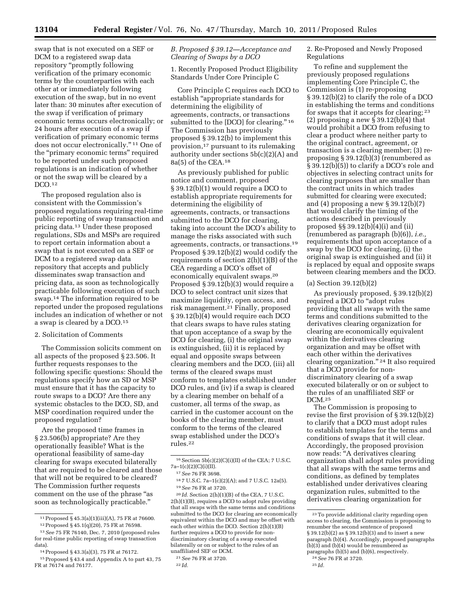swap that is not executed on a SEF or DCM to a registered swap data repository ''promptly following verification of the primary economic terms by the counterparties with each other at or immediately following execution of the swap, but in no event later than: 30 minutes after execution of the swap if verification of primary economic terms occurs electronically; or 24 hours after execution of a swap if verification of primary economic terms does not occur electronically."<sup>11</sup> One of the ''primary economic terms'' required to be reported under such proposed regulations is an indication of whether or not the swap will be cleared by a DCO.12

The proposed regulation also is consistent with the Commission's proposed regulations requiring real-time public reporting of swap transaction and pricing data.13 Under these proposed regulations, SDs and MSPs are required to report certain information about a swap that is not executed on a SEF or DCM to a registered swap data repository that accepts and publicly disseminates swap transaction and pricing data, as soon as technologically practicable following execution of such swap.14 The information required to be reported under the proposed regulations includes an indication of whether or not a swap is cleared by a DCO.15

### 2. Solicitation of Comments

The Commission solicits comment on all aspects of the proposed § 23.506. It further requests responses to the following specific questions: Should the regulations specify how an SD or MSP must ensure that it has the capacity to route swaps to a DCO? Are there any systemic obstacles to the DCO, SD, and MSP coordination required under the proposed regulation?

Are the proposed time frames in § 23.506(b) appropriate? Are they operationally feasible? What is the operational feasibility of same-day clearing for swaps executed bilaterally that are required to be cleared and those that will not be required to be cleared? The Commission further requests comment on the use of the phrase ''as soon as technologically practicable.''

14Proposed § 43.3(a)(3), 75 FR at 76172.

## *B. Proposed § 39.12—Acceptance and Clearing of Swaps by a DCO*

1. Recently Proposed Product Eligibility Standards Under Core Principle C

Core Principle C requires each DCO to establish ''appropriate standards for determining the eligibility of agreements, contracts, or transactions submitted to the [DCO] for clearing."  $^{\rm 16}$ The Commission has previously proposed § 39.12(b) to implement this provision,17 pursuant to its rulemaking authority under sections 5b(c)(2)(A) and 8a(5) of the CEA.18

As previously published for public notice and comment, proposed § 39.12(b)(1) would require a DCO to establish appropriate requirements for determining the eligibility of agreements, contracts, or transactions submitted to the DCO for clearing, taking into account the DCO's ability to manage the risks associated with such agreements, contracts, or transactions.19 Proposed § 39.12(b)(2) would codify the requirements of section 2(h)(1)(B) of the CEA regarding a DCO's offset of economically equivalent swaps.20 Proposed § 39.12(b)(3) would require a DCO to select contract unit sizes that maximize liquidity, open access, and risk management.21 Finally, proposed § 39.12(b)(4) would require each DCO that clears swaps to have rules stating that upon acceptance of a swap by the DCO for clearing, (i) the original swap is extinguished, (ii) it is replaced by equal and opposite swaps between clearing members and the DCO, (iii) all terms of the cleared swaps must conform to templates established under DCO rules, and (iv) if a swap is cleared by a clearing member on behalf of a customer, all terms of the swap, as carried in the customer account on the books of the clearing member, must conform to the terms of the cleared swap established under the DCO's rules.22

20 *Id.* Section 2(h)(1)(B) of the CEA, 7 U.S.C. 2(h)(1)(B), requires a DCO to adopt rules providing that all swaps with the same terms and conditions submitted to the DCO for clearing are economically equivalent within the DCO and may be offset with each other within the DCO. Section 2(h)(1)(B) further requires a DCO to provide for nondiscriminatory clearing of a swap executed bilaterally or on or subject to the rules of an unaffiliated SEF or DCM.

22 *Id.* 

2. Re-Proposed and Newly Proposed Regulations

To refine and supplement the previously proposed regulations implementing Core Principle C, the Commission is (1) re-proposing § 39.12(b)(2) to clarify the role of a DCO in establishing the terms and conditions for swaps that it accepts for clearing; 23 (2) proposing a new  $\S$  39.12(b)(4) that would prohibit a DCO from refusing to clear a product where neither party to the original contract, agreement, or transaction is a clearing member; (3) reproposing § 39.12(b)(3) (renumbered as § 39.12(b)(5)) to clarify a DCO's role and objectives in selecting contract units for clearing purposes that are smaller than the contract units in which trades submitted for clearing were executed; and (4) proposing a new § 39.12(b)(7) that would clarify the timing of the actions described in previously proposed §§ 39.12(b)(4)(i) and (ii) (renumbered as paragraph (b)(6)), *i.e.,*  requirements that upon acceptance of a swap by the DCO for clearing, (i) the original swap is extinguished and (ii) it is replaced by equal and opposite swaps between clearing members and the DCO.

### (a) Section 39.12(b)(2)

As previously proposed, § 39.12(b)(2) required a DCO to ''adopt rules providing that all swaps with the same terms and conditions submitted to the derivatives clearing organization for clearing are economically equivalent within the derivatives clearing organization and may be offset with each other within the derivatives clearing organization."<sup>24</sup> It also required that a DCO provide for nondiscriminatory clearing of a swap executed bilaterally or on or subject to the rules of an unaffiliated SEF or DCM.25

The Commission is proposing to revise the first provision of § 39.12(b)(2) to clarify that a DCO must adopt rules to establish templates for the terms and conditions of swaps that it will clear. Accordingly, the proposed provision now reads: ''A derivatives clearing organization shall adopt rules providing that all swaps with the same terms and conditions, as defined by templates established under derivatives clearing organization rules, submitted to the derivatives clearing organization for

<sup>11</sup>Proposed § 45.3(a)(1)(iii)(A), 75 FR at 76600.

<sup>12</sup>Proposed § 45.1(q)(20), 75 FR at 76598.

<sup>13</sup>*See* 75 FR 76140, Dec. 7, 2010 (proposed rules for real-time public reporting of swap transaction data).

<sup>15</sup>Proposed § 43.4 and Appendix A to part 43, 75 FR at 76174 and 76177.

 $16$  Section  $5b(c)(2)(C)(i)(II)$  of the CEA; 7 U.S.C. 7a–1(c)(2)(C)(i)(II).

<sup>17</sup>*See* 76 FR 3698.

<sup>18</sup> 7 U.S.C. 7a–1(c)(2)(A); and 7 U.S.C. 12a(5). 19*See* 76 FR at 3720.

<sup>21</sup>*See* 76 FR at 3720.

<sup>23</sup>To provide additional clarity regarding open access to clearing, the Commission is proposing to renumber the second sentence of proposed § 39.12(b)(2) as § 39.12(b)(3) and to insert a new paragraph (b)(4). Accordingly, proposed paragraphs  $(b)(3)$  and  $(b)(4)$  would be renumbered as paragraphs (b)(5) and (b)(6), respectively.

<sup>24</sup>*See* 76 FR at 3720.

<sup>25</sup> *Id.*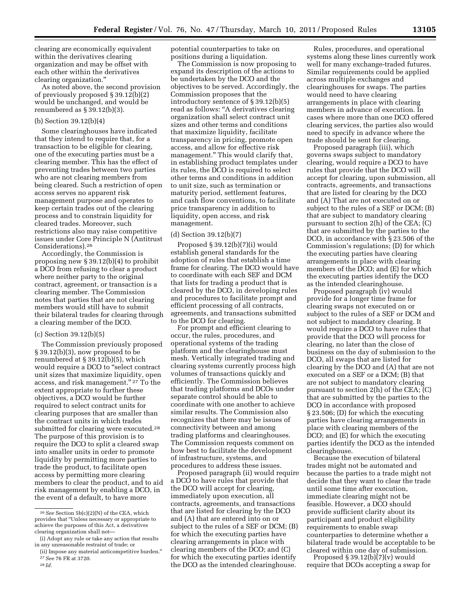clearing are economically equivalent within the derivatives clearing organization and may be offset with each other within the derivatives clearing organization.''

As noted above, the second provision of previously proposed § 39.12(b)(2) would be unchanged, and would be renumbered as § 39.12(b)(3).

# (b) Section 39.12(b)(4)

Some clearinghouses have indicated that they intend to require that, for a transaction to be eligible for clearing, one of the executing parties must be a clearing member. This has the effect of preventing trades between two parties who are not clearing members from being cleared. Such a restriction of open access serves no apparent risk management purpose and operates to keep certain trades out of the clearing process and to constrain liquidity for cleared trades. Moreover, such restrictions also may raise competitive issues under Core Principle N (Antitrust Considerations).26

Accordingly, the Commission is proposing new § 39.12(b)(4) to prohibit a DCO from refusing to clear a product where neither party to the original contract, agreement, or transaction is a clearing member. The Commission notes that parties that are not clearing members would still have to submit their bilateral trades for clearing through a clearing member of the DCO.

### (c) Section 39.12(b)(5)

The Commission previously proposed § 39.12(b)(3), now proposed to be renumbered at § 39.12(b)(5), which would require a DCO to ''select contract unit sizes that maximize liquidity, open access, and risk management.'' 27 To the extent appropriate to further these objectives, a DCO would be further required to select contract units for clearing purposes that are smaller than the contract units in which trades submitted for clearing were executed.<sup>28</sup> The purpose of this provision is to require the DCO to split a cleared swap into smaller units in order to promote liquidity by permitting more parties to trade the product, to facilitate open access by permitting more clearing members to clear the product, and to aid risk management by enabling a DCO, in the event of a default, to have more

potential counterparties to take on positions during a liquidation.

The Commission is now proposing to expand its description of the actions to be undertaken by the DCO and the objectives to be served. Accordingly, the Commission proposes that the introductory sentence of § 39.12(b)(5) read as follows: ''A derivatives clearing organization shall select contract unit sizes and other terms and conditions that maximize liquidity, facilitate transparency in pricing, promote open access, and allow for effective risk management.'' This would clarify that, in establishing product templates under its rules, the DCO is required to select other terms and conditions in addition to unit size, such as termination or maturity period, settlement features, and cash flow conventions, to facilitate price transparency in addition to liquidity, open access, and risk management.

## (d) Section 39.12(b)(7)

Proposed § 39.12(b)(7)(i) would establish general standards for the adoption of rules that establish a time frame for clearing. The DCO would have to coordinate with each SEF and DCM that lists for trading a product that is cleared by the DCO, in developing rules and procedures to facilitate prompt and efficient processing of all contracts, agreements, and transactions submitted to the DCO for clearing.

For prompt and efficient clearing to occur, the rules, procedures, and operational systems of the trading platform and the clearinghouse must mesh. Vertically integrated trading and clearing systems currently process high volumes of transactions quickly and efficiently. The Commission believes that trading platforms and DCOs under separate control should be able to coordinate with one another to achieve similar results. The Commission also recognizes that there may be issues of connectivity between and among trading platforms and clearinghouses. The Commission requests comment on how best to facilitate the development of infrastructure, systems, and procedures to address these issues.

Proposed paragraph (ii) would require a DCO to have rules that provide that the DCO will accept for clearing, immediately upon execution, all contracts, agreements, and transactions that are listed for clearing by the DCO and (A) that are entered into on or subject to the rules of a SEF or DCM; (B) for which the executing parties have clearing arrangements in place with clearing members of the DCO; and (C) for which the executing parties identify the DCO as the intended clearinghouse.

Rules, procedures, and operational systems along these lines currently work well for many exchange-traded futures. Similar requirements could be applied across multiple exchanges and clearinghouses for swaps. The parties would need to have clearing arrangements in place with clearing members in advance of execution. In cases where more than one DCO offered clearing services, the parties also would need to specify in advance where the trade should be sent for clearing.

Proposed paragraph (iii), which governs swaps subject to mandatory clearing, would require a DCO to have rules that provide that the DCO will accept for clearing, upon submission, all contracts, agreements, and transactions that are listed for clearing by the DCO and (A) That are not executed on or subject to the rules of a SEF or DCM; (B) that are subject to mandatory clearing pursuant to section 2(h) of the CEA; (C) that are submitted by the parties to the DCO, in accordance with § 23.506 of the Commission's regulations; (D) for which the executing parties have clearing arrangements in place with clearing members of the DCO; and (E) for which the executing parties identify the DCO as the intended clearinghouse.

Proposed paragraph (iv) would provide for a longer time frame for clearing swaps not executed on or subject to the rules of a SEF or DCM and not subject to mandatory clearing. It would require a DCO to have rules that provide that the DCO will process for clearing, no later than the close of business on the day of submission to the DCO, all swaps that are listed for clearing by the DCO and (A) that are not executed on a SEF or a DCM; (B) that are not subject to mandatory clearing pursuant to section 2(h) of the CEA; (C) that are submitted by the parties to the DCO in accordance with proposed § 23.506; (D) for which the executing parties have clearing arrangements in place with clearing members of the DCO; and (E) for which the executing parties identify the DCO as the intended clearinghouse.

Because the execution of bilateral trades might not be automated and because the parties to a trade might not decide that they want to clear the trade until some time after execution, immediate clearing might not be feasible. However, a DCO should provide sufficient clarity about its participant and product eligibility requirements to enable swap counterparties to determine whether a bilateral trade would be acceptable to be cleared within one day of submission.

Proposed  $\S 39.12(b)(7)(v)$  would require that DCOs accepting a swap for

<sup>26</sup>*See* Section 5b(c)(2)(N) of the CEA, which provides that ''Unless necessary or appropriate to achieve the purposes of this Act, a derivatives clearing organization shall not—

<sup>(</sup>i) Adopt any rule or take any action that results in any unreasonable restraint of trade; or

<sup>(</sup>ii) Impose any material anticompetitive burden.'' 27*See* 76 FR at 3720.

<sup>28</sup> *Id.*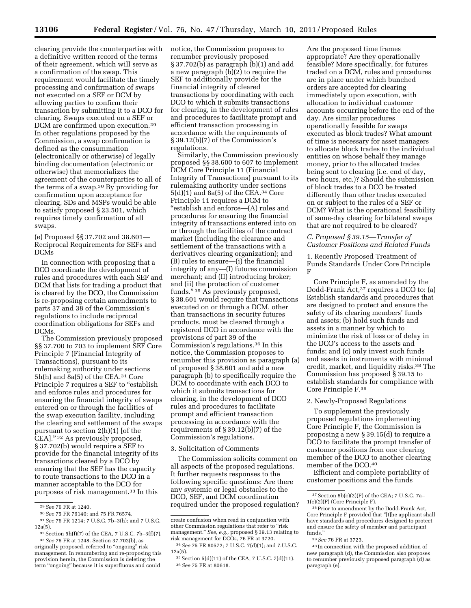clearing provide the counterparties with a definitive written record of the terms of their agreement, which will serve as a confirmation of the swap. This requirement would facilitate the timely processing and confirmation of swaps not executed on a SEF or DCM by allowing parties to confirm their transaction by submitting it to a DCO for clearing. Swaps executed on a SEF or DCM are confirmed upon execution.29 In other regulations proposed by the Commission, a swap confirmation is defined as the consummation (electronically or otherwise) of legally binding documentation (electronic or otherwise) that memorializes the agreement of the counterparties to all of the terms of a swap.30 By providing for confirmation upon acceptance for clearing, SDs and MSPs would be able to satisfy proposed § 23.501, which requires timely confirmation of all swaps.

(e) Proposed §§ 37.702 and 38.601— Reciprocal Requirements for SEFs and DCMs

In connection with proposing that a DCO coordinate the development of rules and procedures with each SEF and DCM that lists for trading a product that is cleared by the DCO, the Commission is re-proposing certain amendments to parts 37 and 38 of the Commission's regulations to include reciprocal coordination obligations for SEFs and DCMs.

The Commission previously proposed §§ 37.700 to 703 to implement SEF Core Principle 7 (Financial Integrity of Transactions), pursuant to its rulemaking authority under sections 5h(h) and 8a(5) of the CEA.31 Core Principle 7 requires a SEF to "establish and enforce rules and procedures for ensuring the financial integrity of swaps entered on or through the facilities of the swap execution facility, including the clearing and settlement of the swaps pursuant to section 2(h)(1) [of the CEA]."<sup>32</sup> As previously proposed, § 37.702(b) would require a SEF to provide for the financial integrity of its transactions cleared by a DCO by ensuring that the SEF has the capacity to route transactions to the DCO in a manner acceptable to the DCO for purposes of risk management.33 In this

29*See* 76 FR at 1240.

notice, the Commission proposes to renumber previously proposed § 37.702(b) as paragraph (b)(1) and add a new paragraph (b)(2) to require the SEF to additionally provide for the financial integrity of cleared transactions by coordinating with each DCO to which it submits transactions for clearing, in the development of rules and procedures to facilitate prompt and efficient transaction processing in accordance with the requirements of § 39.12(b)(7) of the Commission's regulations.

Similarly, the Commission previously proposed §§ 38.600 to 607 to implement DCM Core Principle 11 (Financial Integrity of Transactions) pursuant to its rulemaking authority under sections 5(d)(1) and 8a(5) of the CEA.34 Core Principle 11 requires a DCM to ''establish and enforce—(A) rules and procedures for ensuring the financial integrity of transactions entered into on or through the facilities of the contract market (including the clearance and settlement of the transactions with a derivatives clearing organization); and (B) rules to ensure—(i) the financial integrity of any—(I) futures commission merchant; and (II) introducing broker; and (ii) the protection of customer funds.'' 35 As previously proposed, § 38.601 would require that transactions executed on or through a DCM, other than transactions in security futures products, must be cleared through a registered DCO in accordance with the provisions of part 39 of the Commission's regulations.36 In this notice, the Commission proposes to renumber this provision as paragraph (a) of proposed § 38.601 and add a new paragraph (b) to specifically require the DCM to coordinate with each DCO to which it submits transactions for clearing, in the development of DCO rules and procedures to facilitate prompt and efficient transaction processing in accordance with the requirements of § 39.12(b)(7) of the Commission's regulations.

## 3. Solicitation of Comments

The Commission solicits comment on all aspects of the proposed regulations. It further requests responses to the following specific questions: Are there any systemic or legal obstacles to the DCO, SEF, and DCM coordination required under the proposed regulation? Are the proposed time frames appropriate? Are they operationally feasible? More specifically, for futures traded on a DCM, rules and procedures are in place under which bunched orders are accepted for clearing immediately upon execution, with allocation to individual customer accounts occurring before the end of the day. Are similar procedures operationally feasible for swaps executed as block trades? What amount of time is necessary for asset managers to allocate block trades to the individual entities on whose behalf they manage money, prior to the allocated trades being sent to clearing (i.e. end of day, two hours, etc.)? Should the submission of block trades to a DCO be treated differently than other trades executed on or subject to the rules of a SEF or DCM? What is the operational feasibility of same-day clearing for bilateral swaps that are not required to be cleared?

### *C. Proposed § 39.15—Transfer of Customer Positions and Related Funds*

1. Recently Proposed Treatment of Funds Standards Under Core Principle F

Core Principle F, as amended by the Dodd-Frank Act,37 requires a DCO to: (a) Establish standards and procedures that are designed to protect and ensure the safety of its clearing members' funds and assets; (b) hold such funds and assets in a manner by which to minimize the risk of loss or of delay in the DCO's access to the assets and funds; and (c) only invest such funds and assets in instruments with minimal credit, market, and liquidity risks.38 The Commission has proposed § 39.15 to establish standards for compliance with Core Principle F.39

## 2. Newly-Proposed Regulations

To supplement the previously proposed regulations implementing Core Principle F, the Commission is proposing a new § 39.15(d) to require a DCO to facilitate the prompt transfer of customer positions from one clearing member of the DCO to another clearing member of the DCO.40

Efficient and complete portability of customer positions and the funds

<sup>30</sup>*See* 75 FR 76140; and 75 FR 76574.

<sup>31</sup>*See* 76 FR 1214; 7 U.S.C. 7b–3(h); and 7 U.S.C. 12a(5).

<sup>32</sup>Section 5h(f)(7) of the CEA, 7 U.S.C. 7b–3(f)(7). 33*See* 76 FR at 1248. Section 37.702(b), as originally proposed, referred to "ongoing" risk management. In renumbering and re-proposing this provision herein, the Commission is deleting the term ''ongoing'' because it is superfluous and could

create confusion when read in conjunction with other Commission regulations that refer to "risk management.'' *See, e.g.,* proposed § 39.13 relating to risk management for DCOs, 76 FR at 3720.

<sup>34</sup>*See* 75 FR 80572; 7 U.S.C. 7(d)(1); and 7.U.S.C. 12a(5).

<sup>35</sup>Section 5(d)(11) of the CEA, 7 U.S.C. 7(d)(11). 36*See* 75 FR at 80618.

<sup>37</sup>Section 5b(c)(2)(F) of the CEA; 7 U.S.C. 7a– 1(c)(2)(F) (Core Principle F).

<sup>38</sup>Prior to amendment by the Dodd-Frank Act, Core Principle F provided that ''[t]he applicant shall have standards and procedures designed to protect and ensure the safety of member and participant funds.''

<sup>39</sup>*See* 76 FR at 3723.

<sup>40</sup> In connection with the proposed addition of new paragraph (d), the Commission also proposes to renumber previously proposed paragraph (d) as paragraph (e).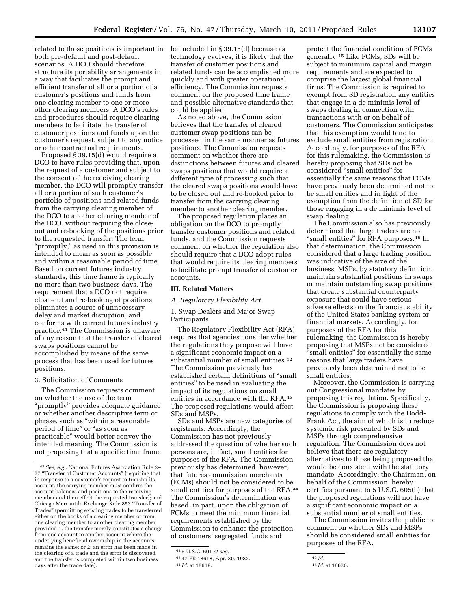related to those positions is important in be included in § 39.15(d) because as both pre-default and post-default scenarios. A DCO should therefore structure its portability arrangements in a way that facilitates the prompt and efficient transfer of all or a portion of a customer's positions and funds from one clearing member to one or more other clearing members. A DCO's rules and procedures should require clearing

members to facilitate the transfer of customer positions and funds upon the customer's request, subject to any notice or other contractual requirements.

Proposed § 39.15(d) would require a DCO to have rules providing that, upon the request of a customer and subject to the consent of the receiving clearing member, the DCO will promptly transfer all or a portion of such customer's portfolio of positions and related funds from the carrying clearing member of the DCO to another clearing member of the DCO, without requiring the closeout and re-booking of the positions prior to the requested transfer. The term "promptly," as used in this provision is intended to mean as soon as possible and within a reasonable period of time. Based on current futures industry standards, this time frame is typically no more than two business days. The requirement that a DCO not require close-out and re-booking of positions eliminates a source of unnecessary delay and market disruption, and conforms with current futures industry practice.41 The Commission is unaware of any reason that the transfer of cleared swaps positions cannot be accomplished by means of the same process that has been used for futures positions.

## 3. Solicitation of Comments

The Commission requests comment on whether the use of the term ''promptly'' provides adequate guidance or whether another descriptive term or phrase, such as ''within a reasonable period of time" or "as soon as practicable'' would better convey the intended meaning. The Commission is not proposing that a specific time frame

technology evolves, it is likely that the transfer of customer positions and related funds can be accomplished more quickly and with greater operational efficiency. The Commission requests comment on the proposed time frame and possible alternative standards that could be applied.

As noted above, the Commission believes that the transfer of cleared customer swap positions can be processed in the same manner as futures positions. The Commission requests comment on whether there are distinctions between futures and cleared swaps positions that would require a different type of processing such that the cleared swaps positions would have to be closed out and re-booked prior to transfer from the carrying clearing member to another clearing member.

The proposed regulation places an obligation on the DCO to promptly transfer customer positions and related funds, and the Commission requests comment on whether the regulation also should require that a DCO adopt rules that would require its clearing members to facilitate prompt transfer of customer accounts.

### **III. Related Matters**

### *A. Regulatory Flexibility Act*

1. Swap Dealers and Major Swap Participants

The Regulatory Flexibility Act (RFA) requires that agencies consider whether the regulations they propose will have a significant economic impact on a substantial number of small entities.42 The Commission previously has established certain definitions of ''small entities'' to be used in evaluating the impact of its regulations on small entities in accordance with the RFA.43 The proposed regulations would affect SDs and MSPs.

SDs and MSPs are new categories of registrants. Accordingly, the Commission has not previously addressed the question of whether such persons are, in fact, small entities for purposes of the RFA. The Commission previously has determined, however, that futures commission merchants (FCMs) should not be considered to be small entities for purposes of the RFA.<sup>44</sup> The Commission's determination was based, in part, upon the obligation of FCMs to meet the minimum financial requirements established by the Commission to enhance the protection of customers' segregated funds and

protect the financial condition of FCMs generally.45 Like FCMs, SDs will be subject to minimum capital and margin requirements and are expected to comprise the largest global financial firms. The Commission is required to exempt from SD registration any entities that engage in a de minimis level of swaps dealing in connection with transactions with or on behalf of customers. The Commission anticipates that this exemption would tend to exclude small entities from registration. Accordingly, for purposes of the RFA for this rulemaking, the Commission is hereby proposing that SDs not be considered ''small entities'' for essentially the same reasons that FCMs have previously been determined not to be small entities and in light of the exemption from the definition of SD for those engaging in a de minimis level of swap dealing.

The Commission also has previously determined that large traders are not "small entities" for RFA purposes.<sup>46</sup> In that determination, the Commission considered that a large trading position was indicative of the size of the business. MSPs, by statutory definition, maintain substantial positions in swaps or maintain outstanding swap positions that create substantial counterparty exposure that could have serious adverse effects on the financial stability of the United States banking system or financial markets. Accordingly, for purposes of the RFA for this rulemaking, the Commission is hereby proposing that MSPs not be considered ''small entities'' for essentially the same reasons that large traders have previously been determined not to be small entities.

Moreover, the Commission is carrying out Congressional mandates by proposing this regulation. Specifically, the Commission is proposing these regulations to comply with the Dodd-Frank Act, the aim of which is to reduce systemic risk presented by SDs and MSPs through comprehensive regulation. The Commission does not believe that there are regulatory alternatives to those being proposed that would be consistent with the statutory mandate. Accordingly, the Chairman, on behalf of the Commission, hereby certifies pursuant to 5 U.S.C. 605(b) that the proposed regulations will not have a significant economic impact on a substantial number of small entities.

The Commission invites the public to comment on whether SDs and MSPs should be considered small entities for purposes of the RFA.

<sup>41</sup>*See, e.g.,* National Futures Association Rule 2– 27 ''Transfer of Customer Accounts'' (requiring that in response to a customer's request to transfer its account, the carrying member must confirm the account balances and positions to the receiving member and then effect the requested transfer); and Chicago Mercantile Exchange Rule 853 ''Transfer of Trades'' (permitting existing trades to be transferred either on the books of a clearing member or from one clearing member to another clearing member provided 1. the transfer merely constitutes a change from one account to another account where the underlying beneficial ownership in the accounts remains the same; or 2. an error has been made in the clearing of a trade and the error is discovered and the transfer is completed within two business days after the trade date).

<sup>42</sup> 5 U.S.C. 601 *et seq.* 

<sup>43</sup> 47 FR 18618, Apr. 30, 1982.

<sup>44</sup> *Id.* at 18619.

<sup>45</sup> *Id.* 

<sup>46</sup> *Id.* at 18620.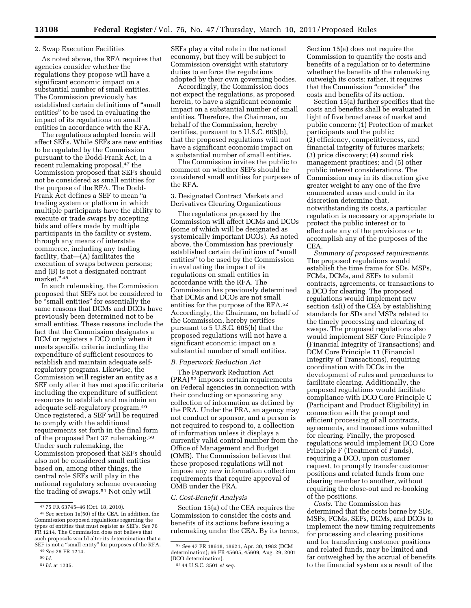### 2. Swap Execution Facilities

As noted above, the RFA requires that agencies consider whether the regulations they propose will have a significant economic impact on a substantial number of small entities. The Commission previously has established certain definitions of ''small entities'' to be used in evaluating the impact of its regulations on small entities in accordance with the RFA.

The regulations adopted herein will affect SEFs. While SEFs are new entities to be regulated by the Commission pursuant to the Dodd-Frank Act, in a recent rulemaking proposal,<sup>47</sup> the Commission proposed that SEFs should not be considered as small entities for the purpose of the RFA. The Dodd-Frank Act defines a SEF to mean ''a trading system or platform in which multiple participants have the ability to execute or trade swaps by accepting bids and offers made by multiple participants in the facility or system, through any means of interstate commerce, including any trading facility, that—(A) facilitates the execution of swaps between persons; and (B) is not a designated contract market.'' 48

In such rulemaking, the Commission proposed that SEFs not be considered to be ''small entities'' for essentially the same reasons that DCMs and DCOs have previously been determined not to be small entities. These reasons include the fact that the Commission designates a DCM or registers a DCO only when it meets specific criteria including the expenditure of sufficient resources to establish and maintain adequate selfregulatory programs. Likewise, the Commission will register an entity as a SEF only after it has met specific criteria including the expenditure of sufficient resources to establish and maintain an adequate self-regulatory program.49 Once registered, a SEF will be required to comply with the additional requirements set forth in the final form of the proposed Part 37 rulemaking.50 Under such rulemaking, the Commission proposed that SEFs should also not be considered small entities based on, among other things, the central role SEFs will play in the national regulatory scheme overseeing the trading of swaps.51 Not only will

SEFs play a vital role in the national economy, but they will be subject to Commission oversight with statutory duties to enforce the regulations adopted by their own governing bodies.

Accordingly, the Commission does not expect the regulations, as proposed herein, to have a significant economic impact on a substantial number of small entities. Therefore, the Chairman, on behalf of the Commission, hereby certifies, pursuant to 5 U.S.C. 605(b), that the proposed regulations will not have a significant economic impact on a substantial number of small entities.

The Commission invites the public to comment on whether SEFs should be considered small entities for purposes of the RFA.

## 3. Designated Contract Markets and Derivatives Clearing Organizations

The regulations proposed by the Commission will affect DCMs and DCOs (some of which will be designated as systemically important DCOs). As noted above, the Commission has previously established certain definitions of ''small entities'' to be used by the Commission in evaluating the impact of its regulations on small entities in accordance with the RFA. The Commission has previously determined that DCMs and DCOs are not small entities for the purpose of the RFA.52 Accordingly, the Chairman, on behalf of the Commission, hereby certifies pursuant to 5 U.S.C. 605(b) that the proposed regulations will not have a significant economic impact on a substantial number of small entities.

## *B. Paperwork Reduction Act*

The Paperwork Reduction Act (PRA) 53 imposes certain requirements on Federal agencies in connection with their conducting or sponsoring any collection of information as defined by the PRA. Under the PRA, an agency may not conduct or sponsor, and a person is not required to respond to, a collection of information unless it displays a currently valid control number from the Office of Management and Budget (OMB). The Commission believes that these proposed regulations will not impose any new information collection requirements that require approval of OMB under the PRA.

### *C. Cost-Benefit Analysis*

Section 15(a) of the CEA requires the Commission to consider the costs and benefits of its actions before issuing a rulemaking under the CEA. By its terms,

Section 15(a) does not require the Commission to quantify the costs and benefits of a regulation or to determine whether the benefits of the rulemaking outweigh its costs; rather, it requires that the Commission "consider" the costs and benefits of its action.

Section 15(a) further specifies that the costs and benefits shall be evaluated in light of five broad areas of market and public concern: (1) Protection of market participants and the public; (2) efficiency, competitiveness, and financial integrity of futures markets; (3) price discovery; (4) sound risk management practices; and (5) other public interest considerations. The Commission may in its discretion give greater weight to any one of the five enumerated areas and could in its discretion determine that, notwithstanding its costs, a particular regulation is necessary or appropriate to protect the public interest or to effectuate any of the provisions or to accomplish any of the purposes of the CEA.

*Summary of proposed requirements.*  The proposed regulations would establish the time frame for SDs, MSPs, FCMs, DCMs, and SEFs to submit contracts, agreements, or transactions to a DCO for clearing. The proposed regulations would implement new section 4s(i) of the CEA by establishing standards for SDs and MSPs related to the timely processing and clearing of swaps. The proposed regulations also would implement SEF Core Principle 7 (Financial Integrity of Transactions) and DCM Core Principle 11 (Financial Integrity of Transactions), requiring coordination with DCOs in the development of rules and procedures to facilitate clearing. Additionally, the proposed regulations would facilitate compliance with DCO Core Principle C (Participant and Product Eligibility) in connection with the prompt and efficient processing of all contracts, agreements, and transactions submitted for clearing. Finally, the proposed regulations would implement DCO Core Principle F (Treatment of Funds), requiring a DCO, upon customer request, to promptly transfer customer positions and related funds from one clearing member to another, without requiring the close-out and re-booking of the positions.

*Costs.* The Commission has determined that the costs borne by SDs, MSPs, FCMs, SEFs, DCMs, and DCOs to implement the new timing requirements for processing and clearing positions and for transferring customer positions and related funds, may be limited and far outweighed by the accrual of benefits to the financial system as a result of the

<sup>47</sup> 75 FR 63745–46 (Oct. 18, 2010).

<sup>48</sup>*See* section 1a(50) of the CEA. In addition, the Commission proposed regulations regarding the types of entities that must register as SEFs. *See* 76 FR 1214. The Commission does not believe that such proposals would alter its determination that a SEF is not a "small entity" for purposes of the RFA.

<sup>49</sup>*See* 76 FR 1214. 50 *Id.* 

<sup>51</sup> *Id.* at 1235.

<sup>52</sup>*See* 47 FR 18618, 18621, Apr. 30, 1982 (DCM determination); 66 FR 45605, 45609, Aug. 29, 2001 (DCO determination).

<sup>53</sup> 44 U.S.C. 3501 *et seq.*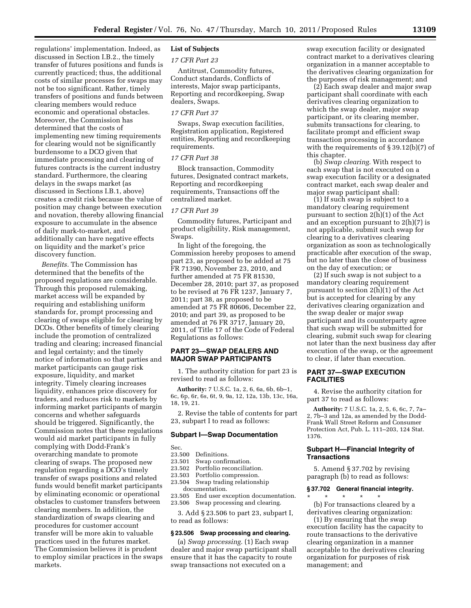regulations' implementation. Indeed, as discussed in Section I.B.2., the timely transfer of futures positions and funds is currently practiced; thus, the additional costs of similar processes for swaps may not be too significant. Rather, timely transfers of positions and funds between clearing members would reduce economic and operational obstacles. Moreover, the Commission has determined that the costs of implementing new timing requirements for clearing would not be significantly burdensome to a DCO given that immediate processing and clearing of futures contracts is the current industry standard. Furthermore, the clearing delays in the swaps market (as discussed in Sections I.B.1, above) creates a credit risk because the value of position may change between execution and novation, thereby allowing financial exposure to accumulate in the absence of daily mark-to-market, and additionally can have negative effects on liquidity and the market's price discovery function.

*Benefits.* The Commission has determined that the benefits of the proposed regulations are considerable. Through this proposed rulemaking, market access will be expanded by requiring and establishing uniform standards for, prompt processing and clearing of swaps eligible for clearing by DCOs. Other benefits of timely clearing include the promotion of centralized trading and clearing; increased financial and legal certainty; and the timely notice of information so that parties and market participants can gauge risk exposure, liquidity, and market integrity. Timely clearing increases liquidity, enhances price discovery for traders, and reduces risk to markets by informing market participants of margin concerns and whether safeguards should be triggered. Significantly, the Commission notes that these regulations would aid market participants in fully complying with Dodd-Frank's overarching mandate to promote clearing of swaps. The proposed new regulation regarding a DCO's timely transfer of swaps positions and related funds would benefit market participants by eliminating economic or operational obstacles to customer transfers between clearing members. In addition, the standardization of swaps clearing and procedures for customer account transfer will be more akin to valuable practices used in the futures market. The Commission believes it is prudent to employ similar practices in the swaps markets.

# **List of Subjects**

## *17 CFR Part 23*

Antitrust, Commodity futures, Conduct standards, Conflicts of interests, Major swap participants, Reporting and recordkeeping, Swap dealers, Swaps.

## *17 CFR Part 37*

Swaps, Swap execution facilities, Registration application, Registered entities, Reporting and recordkeeping requirements.

### *17 CFR Part 38*

Block transaction, Commodity futures, Designated contract markets, Reporting and recordkeeping requirements, Transactions off the centralized market.

### *17 CFR Part 39*

Commodity futures, Participant and product eligibility, Risk management, Swaps.

In light of the foregoing, the Commission hereby proposes to amend part 23, as proposed to be added at 75 FR 71390, November 23, 2010, and further amended at 75 FR 81530, December 28, 2010; part 37, as proposed to be revised at 76 FR 1237, January 7, 2011; part 38, as proposed to be amended at 75 FR 80606, December 22, 2010; and part 39, as proposed to be amended at 76 FR 3717, January 20, 2011, of Title 17 of the Code of Federal Regulations as follows:

# **PART 23—SWAP DEALERS AND MAJOR SWAP PARTICIPANTS**

1. The authority citation for part 23 is revised to read as follows:

**Authority:** 7 U.S.C. 1a, 2, 6, 6a, 6b, 6b–1, 6c, 6p, 6r, 6s, 6t, 9, 9a, 12, 12a, 13b, 13c, 16a, 18, 19, 21.

2. Revise the table of contents for part 23, subpart I to read as follows:

### **Subpart I—Swap Documentation**

Sec.<br>23.500

- Definitions.
- 23.501 Swap confirmation.
- Portfolio reconciliation.
- 23.503 Portfolio compression.
- 23.504 Swap trading relationship documentation.
- 23.505 End user exception documentation.
- 23.506 Swap processing and clearing.

3. Add § 23.506 to part 23, subpart I, to read as follows:

## **§ 23.506 Swap processing and clearing.**

(a) *Swap processing.* (1) Each swap dealer and major swap participant shall ensure that it has the capacity to route swap transactions not executed on a

swap execution facility or designated contract market to a derivatives clearing organization in a manner acceptable to the derivatives clearing organization for the purposes of risk management; and

(2) Each swap dealer and major swap participant shall coordinate with each derivatives clearing organization to which the swap dealer, major swap participant, or its clearing member, submits transactions for clearing, to facilitate prompt and efficient swap transaction processing in accordance with the requirements of § 39.12(b)(7) of this chapter.

(b) *Swap clearing.* With respect to each swap that is not executed on a swap execution facility or a designated contract market, each swap dealer and major swap participant shall:

(1) If such swap is subject to a mandatory clearing requirement pursuant to section 2(h)(1) of the Act and an exception pursuant to  $2(h)(7)$  is not applicable, submit such swap for clearing to a derivatives clearing organization as soon as technologically practicable after execution of the swap, but no later than the close of business on the day of execution; or

(2) If such swap is not subject to a mandatory clearing requirement pursuant to section 2(h)(1) of the Act but is accepted for clearing by any derivatives clearing organization and the swap dealer or major swap participant and its counterparty agree that such swap will be submitted for clearing, submit such swap for clearing not later than the next business day after execution of the swap, or the agreement to clear, if later than execution.

## **PART 37—SWAP EXECUTION FACILITIES**

4. Revise the authority citation for part 37 to read as follows:

**Authority:** 7 U.S.C. 1a, 2, 5, 6, 6c, 7, 7a– 2, 7b–3 and 12a, as amended by the Dodd-Frank Wall Street Reform and Consumer Protection Act, Pub. L. 111–203, 124 Stat. 1376.

## **Subpart H—Financial Integrity of Transactions**

5. Amend § 37.702 by revising paragraph (b) to read as follows:

# **§ 37.702 General financial integrity.**

\* \* \* \* \* (b) For transactions cleared by a derivatives clearing organization:

(1) By ensuring that the swap execution facility has the capacity to route transactions to the derivative clearing organization in a manner acceptable to the derivatives clearing organization for purposes of risk management; and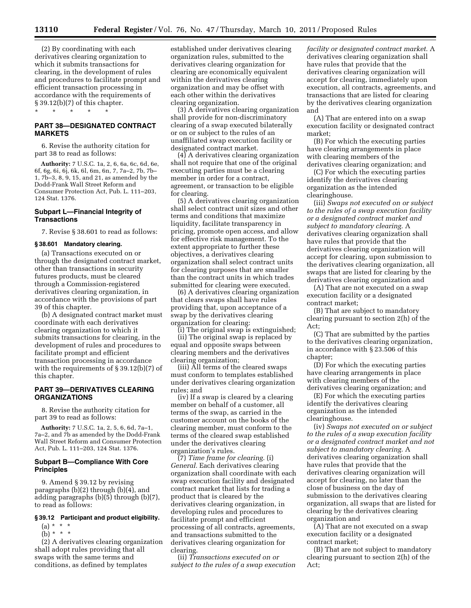(2) By coordinating with each derivatives clearing organization to which it submits transactions for clearing, in the development of rules and procedures to facilitate prompt and efficient transaction processing in accordance with the requirements of § 39.12(b)(7) of this chapter. \* \* \* \* \*

**PART 38—DESIGNATED CONTRACT MARKETS** 

6. Revise the authority citation for part 38 to read as follows:

**Authority:** 7 U.S.C. 1a, 2, 6, 6a, 6c, 6d, 6e, 6f, 6g, 6i, 6j, 6k, 6l, 6m, 6n, 7, 7a–2, 7b, 7b– 1, 7b–3, 8, 9, 15, and 21, as amended by the Dodd-Frank Wall Street Reform and Consumer Protection Act, Pub. L. 111–203, 124 Stat. 1376.

## **Subpart L—Financial Integrity of Transactions**

7. Revise § 38.601 to read as follows:

### **§ 38.601 Mandatory clearing.**

(a) Transactions executed on or through the designated contract market, other than transactions in security futures products, must be cleared through a Commission-registered derivatives clearing organization, in accordance with the provisions of part 39 of this chapter.

(b) A designated contract market must coordinate with each derivatives clearing organization to which it submits transactions for clearing, in the development of rules and procedures to facilitate prompt and efficient transaction processing in accordance with the requirements of § 39.12(b)(7) of this chapter.

# **PART 39—DERIVATIVES CLEARING ORGANIZATIONS**

8. Revise the authority citation for part 39 to read as follows:

**Authority:** 7 U.S.C. 1a, 2, 5, 6, 6d, 7a–1, 7a–2, and 7b as amended by the Dodd-Frank Wall Street Reform and Consumer Protection Act, Pub. L. 111–203, 124 Stat. 1376.

## **Subpart B—Compliance With Core Principles**

9. Amend § 39.12 by revising paragraphs (b)(2) through (b)(4), and adding paragraphs (b)(5) through (b)(7), to read as follows:

# **§ 39.12 Participant and product eligibility.**

 $(a) * * * *$ (b) \* \* \*

(2) A derivatives clearing organization shall adopt rules providing that all swaps with the same terms and conditions, as defined by templates

established under derivatives clearing organization rules, submitted to the derivatives clearing organization for clearing are economically equivalent within the derivatives clearing organization and may be offset with each other within the derivatives clearing organization.

(3) A derivatives clearing organization shall provide for non-discriminatory clearing of a swap executed bilaterally or on or subject to the rules of an unaffiliated swap execution facility or designated contract market.

(4) A derivatives clearing organization shall not require that one of the original executing parties must be a clearing member in order for a contract, agreement, or transaction to be eligible for clearing.

(5) A derivatives clearing organization shall select contract unit sizes and other terms and conditions that maximize liquidity, facilitate transparency in pricing, promote open access, and allow for effective risk management. To the extent appropriate to further these objectives, a derivatives clearing organization shall select contract units for clearing purposes that are smaller than the contract units in which trades submitted for clearing were executed.

(6) A derivatives clearing organization that clears swaps shall have rules providing that, upon acceptance of a swap by the derivatives clearing organization for clearing:

(i) The original swap is extinguished;

(ii) The original swap is replaced by equal and opposite swaps between clearing members and the derivatives clearing organization;

(iii) All terms of the cleared swaps must conform to templates established under derivatives clearing organization rules; and

(iv) If a swap is cleared by a clearing member on behalf of a customer, all terms of the swap, as carried in the customer account on the books of the clearing member, must conform to the terms of the cleared swap established under the derivatives clearing organization's rules.

(7) *Time frame for clearing.* (i) *General.* Each derivatives clearing organization shall coordinate with each swap execution facility and designated contract market that lists for trading a product that is cleared by the derivatives clearing organization, in developing rules and procedures to facilitate prompt and efficient processing of all contracts, agreements, and transactions submitted to the derivatives clearing organization for clearing.

(ii) *Transactions executed on or subject to the rules of a swap execution* 

*facility or designated contract market.* A derivatives clearing organization shall have rules that provide that the derivatives clearing organization will accept for clearing, immediately upon execution, all contracts, agreements, and transactions that are listed for clearing by the derivatives clearing organization and

(A) That are entered into on a swap execution facility or designated contract market;

(B) For which the executing parties have clearing arrangements in place with clearing members of the derivatives clearing organization; and

(C) For which the executing parties identify the derivatives clearing organization as the intended clearinghouse.

(iii) *Swaps not executed on or subject to the rules of a swap execution facility or a designated contract market and subject to mandatory clearing.* A derivatives clearing organization shall have rules that provide that the derivatives clearing organization will accept for clearing, upon submission to the derivatives clearing organization, all swaps that are listed for clearing by the derivatives clearing organization and

(A) That are not executed on a swap execution facility or a designated contract market;

(B) That are subject to mandatory clearing pursuant to section 2(h) of the Act;

(C) That are submitted by the parties to the derivatives clearing organization, in accordance with § 23.506 of this chapter;

(D) For which the executing parties have clearing arrangements in place with clearing members of the derivatives clearing organization; and

(E) For which the executing parties identify the derivatives clearing organization as the intended clearinghouse.

(iv) *Swaps not executed on or subject to the rules of a swap execution facility or a designated contract market and not subject to mandatory clearing.* A derivatives clearing organization shall have rules that provide that the derivatives clearing organization will accept for clearing, no later than the close of business on the day of submission to the derivatives clearing organization, all swaps that are listed for clearing by the derivatives clearing organization and

(A) That are not executed on a swap execution facility or a designated contract market;

(B) That are not subject to mandatory clearing pursuant to section 2(h) of the Act;